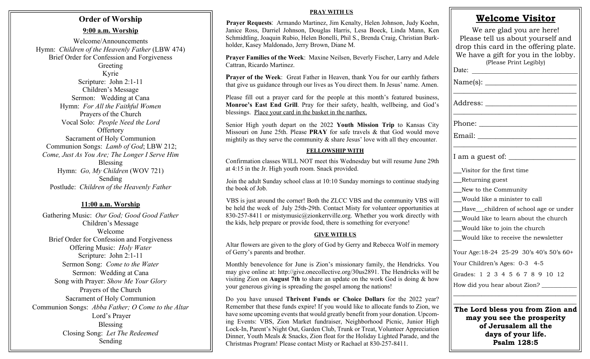# **Order of Worship**

#### **9:00 a.m. Worship**

Welcome/Announcements Hymn: *Children of the Heavenly Father* (LBW 474) Brief Order for Confession and Forgiveness Greeting Kyrie Scripture: John 2:1-11 Children's Message Sermon: Wedding at Cana

Hymn: *For All the Faithful Women* Prayers of the Church Vocal Solo: *People Need the Lord* **Offertory** Sacrament of Holy Communion Communion Songs: *Lamb of God*; LBW 212; *Come, Just As You Are; The Longer I Serve Him* Blessing Hymn: *Go, My Children* (WOV 721) Sending Postlude: *Children of the Heavenly Father*

### **11:00 a.m. Worship**

Gathering Music: *Our God; Good Good Father* Children's Message Welcome Brief Order for Confession and Forgiveness Offering Music: *Holy Water* Scripture: John 2:1-11 Sermon Song: *Come to the Water* Sermon: Wedding at Cana Song with Prayer: *Show Me Your Glory* Prayers of the Church Sacrament of Holy Communion Communion Songs: *Abba Father; O Come to the Altar* Lord's Prayer Blessing Closing Song: *Let The Redeemed* Sending

#### **PRAY WITH US**

**Prayer Requests**: Armando Martinez, Jim Kenalty, Helen Johnson, Judy Koehn, Janice Ross, Darriel Johnson, Douglas Harris, Lesa Boeck, Linda Mann, Ken Schmidtling, Joaquin Rubio, Helen Bonelli, Phil S., Brenda Craig, Christian Burkholder, Kasey Maldonado, Jerry Brown, Diane M.

**Prayer Families of the Week**: Maxine Neilsen, Beverly Fischer, Larry and Adele Cattran, Ricardo Martinez.

**Prayer of the Week**: Great Father in Heaven, thank You for our earthly fathers that give us guidance through our lives as You direct them. In Jesus' name. Amen.

Please fill out a prayer card for the people at this month's featured business, **Monroe's East End Grill**. Pray for their safety, health, wellbeing, and God's blessings. Place your card in the basket in the narthex.

Senior High youth depart on the 2022 **Youth Mission Trip** to Kansas City Missouri on June 25th. Please **PRAY** for safe travels & that God would move mightily as they serve the community & share Jesus' love with all they encounter.

#### **FELLOWSHIP WITH**

Confirmation classes WILL NOT meet this Wednesday but will resume June 29th at 4:15 in the Jr. High youth room. Snack provided.

Join the adult Sunday school class at 10:10 Sunday mornings to continue studying the book of Job.

VBS is just around the corner! Both the ZLCC VBS and the community VBS will be held the week of July 25th-29th. Contact Misty for volunteer opportunities at 830-257-8411 or mistymusic@zionkerrville.org. Whether you work directly with the kids, help prepare or provide food, there is something for everyone!

#### **GIVE WITH US**

Altar flowers are given to the glory of God by Gerry and Rebecca Wolf in memory of Gerry's parents and brother.

Monthly benevolence for June is Zion's missionary family, the Hendricks. You may give online at: http://give.onecollective.org/30us2891. The Hendricks will be visiting Zion on **August 7th** to share an update on the work God is doing & how your generous giving is spreading the gospel among the nations!

Do you have unused **Thrivent Funds or Choice Dollars** for the 2022 year? Remember that these funds expire! If you would like to allocate funds to Zion, we have some upcoming events that would greatly benefit from your donation. Upcoming Events: VBS, Zion Market fundraiser, Neighborhood Picnic, Junior High Lock-In, Parent's Night Out, Garden Club, Trunk or Treat, Volunteer Appreciation Dinner, Youth Meals & Snacks, Zion float for the Holiday Lighted Parade, and the Christmas Program! Please contact Misty or Rachael at 830-257-8411.

| We are glad you are here!<br>Please tell us about yourself and<br>drop this card in the offering plate.<br>We have a gift for you in the lobby. |
|-------------------------------------------------------------------------------------------------------------------------------------------------|
| (Please Print Legibly)<br>Date:                                                                                                                 |
| Name(s): _____________________                                                                                                                  |
| Address: ____________________                                                                                                                   |
|                                                                                                                                                 |
|                                                                                                                                                 |
| I am a guest of: __                                                                                                                             |
| Visitor for the first time                                                                                                                      |
| _Returning guest                                                                                                                                |
| New to the Community                                                                                                                            |
| Would like a minister to call                                                                                                                   |
| __Have__children of school age or under                                                                                                         |
| __Would like to learn about the church                                                                                                          |
| __Would like to join the church                                                                                                                 |
| Would like to receive the newsletter                                                                                                            |
| Your Age: 18-24 25-29 30's 40's 50's 60+                                                                                                        |
| Your Children's Ages: 0-3 4-5                                                                                                                   |
| Grades: 1 2 3 4 5 6 7 8 9 10 12                                                                                                                 |
| How did you hear about Zion? __________                                                                                                         |
| The Lord bless you from Zion and<br>г.,                                                                                                         |

**Welcome Visitor**

| he Lord bless you from Zion and |
|---------------------------------|
| may you see the prosperity      |
| of Jerusalem all the            |
| days of your life.              |
| Psalm 128:5                     |
|                                 |